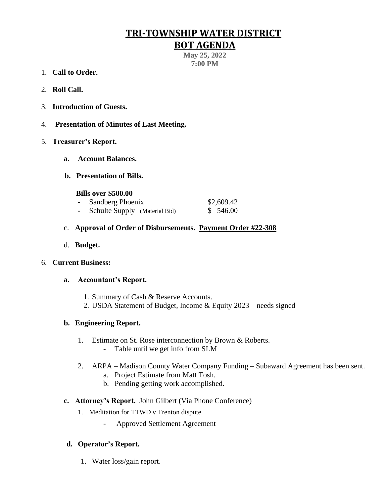# **TRI-TOWNSHIP WATER DISTRICT**

# **BOT AGENDA**

**May 25, 2022 7:00 PM**

- 1. **Call to Order.**
- 2. **Roll Call.**
- 3. **Introduction of Guests.**
- 4. **Presentation of Minutes of Last Meeting.**
- 5. **Treasurer's Report.**
	- **a. Account Balances.**
	- **b. Presentation of Bills.**
		- **Bills over \$500.00**
		- **-** Sandberg Phoenix \$2,609.42
		- **-** Schulte Supply (Material Bid) \$ 546.00
	- c. **Approval of Order of Disbursements. Payment Order #22-308**
	- d. **Budget.**

#### 6. **Current Business:**

#### **a. Accountant's Report.**

- 1. Summary of Cash & Reserve Accounts.
- 2. USDA Statement of Budget, Income & Equity 2023 needs signed

## **b. Engineering Report.**

- 1. Estimate on St. Rose interconnection by Brown & Roberts. - Table until we get info from SLM
- 2. ARPA Madison County Water Company Funding Subaward Agreement has been sent.
	- a. Project Estimate from Matt Tosh.
	- b. Pending getting work accomplished.

#### **c. Attorney's Report.** John Gilbert (Via Phone Conference)

- 1. Meditation for TTWD v Trenton dispute.
	- Approved Settlement Agreement

## **d. Operator's Report.**

1. Water loss/gain report.